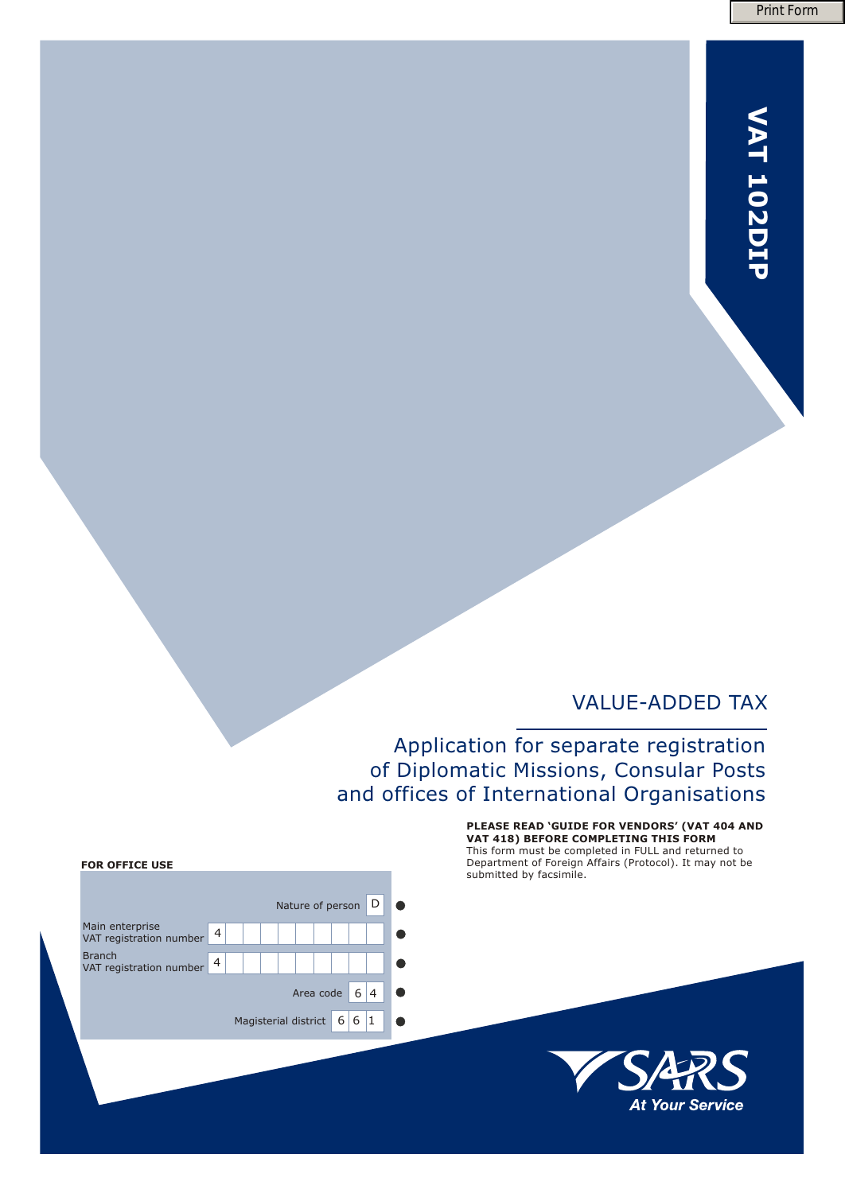# **T 2D VA 10 IP**

## VALUE-ADDED TAX

# Application for separate registration of Diplomatic Missions, Consular Posts and offices of International Organisations

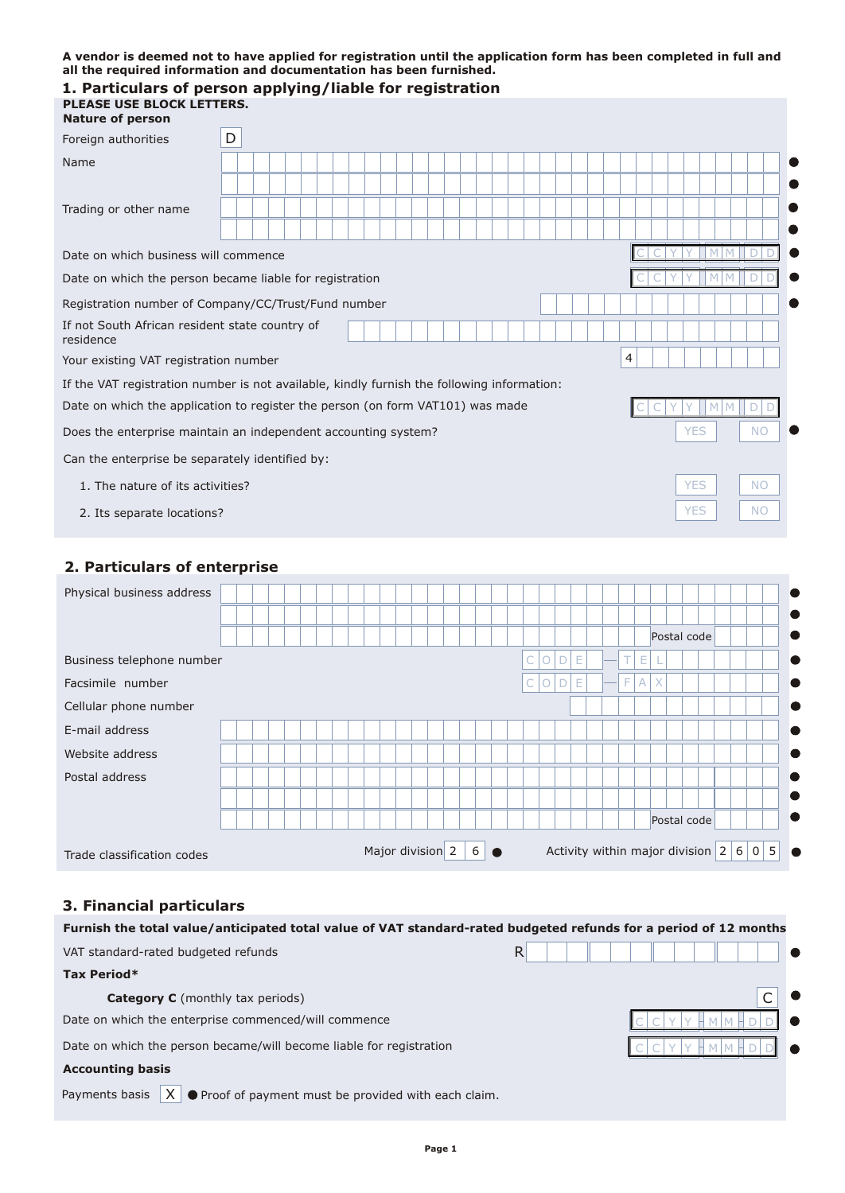#### **A vendor is deemed not to have applied for registration until the application form has been completed in full and all the required information and documentation has been furnished.**

| 1. Particulars of person applying/liable for registration<br><b>SE USE BLOCK LETTERS.</b><br><b>Nature of person</b> |   |  |  |                  |               |   |   |        |                                         |   |   |   |             |     |           |   |
|----------------------------------------------------------------------------------------------------------------------|---|--|--|------------------|---------------|---|---|--------|-----------------------------------------|---|---|---|-------------|-----|-----------|---|
| Foreign authorities                                                                                                  | D |  |  |                  |               |   |   |        |                                         |   |   |   |             |     |           |   |
| Name                                                                                                                 |   |  |  |                  |               |   |   |        |                                         |   |   |   |             |     |           |   |
|                                                                                                                      |   |  |  |                  |               |   |   |        |                                         |   |   |   |             |     |           |   |
| Trading or other name                                                                                                |   |  |  |                  |               |   |   |        |                                         |   |   |   |             |     |           |   |
|                                                                                                                      |   |  |  |                  |               |   |   |        |                                         |   |   |   |             |     |           |   |
| Date on which business will commence                                                                                 |   |  |  |                  |               |   |   |        |                                         |   |   |   |             |     |           |   |
| Date on which the person became liable for registration                                                              |   |  |  |                  |               |   |   |        |                                         |   |   |   |             |     |           |   |
| Registration number of Company/CC/Trust/Fund number                                                                  |   |  |  |                  |               |   |   |        |                                         |   |   |   |             |     |           |   |
| If not South African resident state country of<br>residence                                                          |   |  |  |                  |               |   |   |        |                                         |   |   |   |             |     |           |   |
| Your existing VAT registration number                                                                                |   |  |  |                  |               |   |   |        |                                         | 4 |   |   |             |     |           |   |
| If the VAT registration number is not available, kindly furnish the following information:                           |   |  |  |                  |               |   |   |        |                                         |   |   |   |             |     |           |   |
| Date on which the application to register the person (on form VAT101) was made                                       |   |  |  |                  |               |   |   |        |                                         |   |   |   |             |     | D         |   |
| Does the enterprise maintain an independent accounting system?                                                       |   |  |  |                  |               |   |   |        |                                         |   |   |   |             | YES | <b>NO</b> |   |
| Can the enterprise be separately identified by:                                                                      |   |  |  |                  |               |   |   |        |                                         |   |   |   |             |     |           |   |
| 1. The nature of its activities?                                                                                     |   |  |  |                  |               |   |   |        |                                         |   |   |   | <b>YES</b>  |     | <b>NO</b> |   |
| 2. Its separate locations?                                                                                           |   |  |  |                  |               |   |   |        |                                         |   |   |   | <b>YES</b>  |     | NO        |   |
| 2. Particulars of enterprise                                                                                         |   |  |  |                  |               |   |   |        |                                         |   |   |   |             |     |           |   |
| Physical business address                                                                                            |   |  |  |                  |               |   |   |        |                                         |   |   |   |             |     |           |   |
|                                                                                                                      |   |  |  |                  |               |   |   |        |                                         |   |   |   |             |     |           |   |
|                                                                                                                      |   |  |  |                  |               |   |   |        |                                         |   |   |   | Postal code |     |           |   |
| Business telephone number                                                                                            |   |  |  |                  |               | С | О | D<br>Ε |                                         | т | Ε |   |             |     |           |   |
| Facsimile number                                                                                                     |   |  |  |                  |               |   | Ο | E<br>D |                                         | F | А | X |             |     |           |   |
| Cellular phone number                                                                                                |   |  |  |                  |               |   |   |        |                                         |   |   |   |             |     |           |   |
| E-mail address                                                                                                       |   |  |  |                  |               |   |   |        |                                         |   |   |   |             |     |           |   |
| Website address                                                                                                      |   |  |  |                  |               |   |   |        |                                         |   |   |   |             |     |           |   |
| Postal address                                                                                                       |   |  |  |                  |               |   |   |        |                                         |   |   |   |             |     |           |   |
|                                                                                                                      |   |  |  |                  |               |   |   |        |                                         |   |   |   |             |     |           |   |
|                                                                                                                      |   |  |  |                  |               |   |   |        |                                         |   |   |   | Postal code |     |           |   |
| Trade classification codes                                                                                           |   |  |  | Major division 2 | $6$ $\bullet$ |   |   |        | Activity within major division $2 6 0 $ |   |   |   |             |     |           | 5 |

## **3. Financial particulars**

| Furnish the total value/anticipated total value of VAT standard-rated budgeted refunds for a period of 12 months |    |
|------------------------------------------------------------------------------------------------------------------|----|
| VAT standard-rated budgeted refunds                                                                              | R. |
| Tax Period*                                                                                                      |    |
| <b>Category C</b> (monthly tax periods)                                                                          |    |
| Date on which the enterprise commenced/will commence                                                             |    |
| Date on which the person became/will become liable for registration                                              |    |
| <b>Accounting basis</b>                                                                                          |    |
| Payments basis<br>● Proof of payment must be provided with each claim.                                           |    |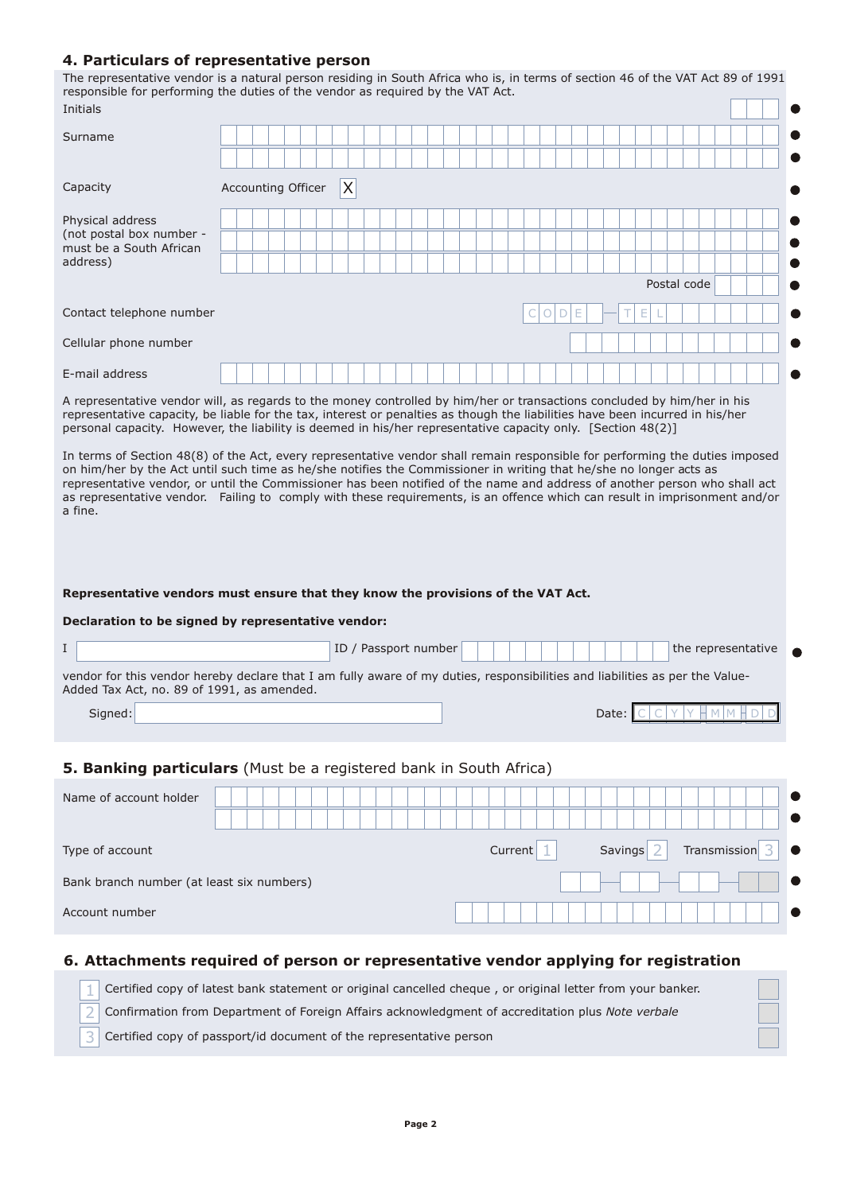#### **4. Particulars of representative person**

The representative vendor is a natural person residing in South Africa who is, in terms of section 46 of the VAT Act 89 of 1991 responsible for performing the duties of the vendor as required by the VAT Act.

| Initials                                                                                                                                                                                                                                                                                                                                                                                                                                                                                                                                                                                                                                                            |                                                                                                            |                      |  |         |              |       |                      |             |                    |  |
|---------------------------------------------------------------------------------------------------------------------------------------------------------------------------------------------------------------------------------------------------------------------------------------------------------------------------------------------------------------------------------------------------------------------------------------------------------------------------------------------------------------------------------------------------------------------------------------------------------------------------------------------------------------------|------------------------------------------------------------------------------------------------------------|----------------------|--|---------|--------------|-------|----------------------|-------------|--------------------|--|
| Surname                                                                                                                                                                                                                                                                                                                                                                                                                                                                                                                                                                                                                                                             |                                                                                                            |                      |  |         |              |       |                      |             |                    |  |
| Capacity                                                                                                                                                                                                                                                                                                                                                                                                                                                                                                                                                                                                                                                            | Accounting Officer                                                                                         | X                    |  |         |              |       |                      |             |                    |  |
| Physical address<br>(not postal box number -<br>must be a South African<br>address)                                                                                                                                                                                                                                                                                                                                                                                                                                                                                                                                                                                 |                                                                                                            |                      |  |         |              |       |                      | Postal code |                    |  |
| Contact telephone number                                                                                                                                                                                                                                                                                                                                                                                                                                                                                                                                                                                                                                            |                                                                                                            |                      |  |         | $\circ$<br>D |       |                      |             |                    |  |
| Cellular phone number                                                                                                                                                                                                                                                                                                                                                                                                                                                                                                                                                                                                                                               |                                                                                                            |                      |  |         |              |       |                      |             |                    |  |
| E-mail address                                                                                                                                                                                                                                                                                                                                                                                                                                                                                                                                                                                                                                                      |                                                                                                            |                      |  |         |              |       |                      |             |                    |  |
| A representative vendor will, as regards to the money controlled by him/her or transactions concluded by him/her in his<br>representative capacity, be liable for the tax, interest or penalties as though the liabilities have been incurred in his/her<br>personal capacity. However, the liability is deemed in his/her representative capacity only. [Section 48(2)]                                                                                                                                                                                                                                                                                            |                                                                                                            |                      |  |         |              |       |                      |             |                    |  |
| In terms of Section 48(8) of the Act, every representative vendor shall remain responsible for performing the duties imposed<br>on him/her by the Act until such time as he/she notifies the Commissioner in writing that he/she no longer acts as<br>representative vendor, or until the Commissioner has been notified of the name and address of another person who shall act<br>as representative vendor. Failing to comply with these requirements, is an offence which can result in imprisonment and/or<br>a fine.<br>Representative vendors must ensure that they know the provisions of the VAT Act.<br>Declaration to be signed by representative vendor: |                                                                                                            |                      |  |         |              |       |                      |             |                    |  |
| I                                                                                                                                                                                                                                                                                                                                                                                                                                                                                                                                                                                                                                                                   |                                                                                                            | ID / Passport number |  |         |              |       |                      |             | the representative |  |
| vendor for this vendor hereby declare that I am fully aware of my duties, responsibilities and liabilities as per the Value-<br>Added Tax Act, no. 89 of 1991, as amended.<br>Signed:                                                                                                                                                                                                                                                                                                                                                                                                                                                                               |                                                                                                            |                      |  |         |              | Date: |                      |             |                    |  |
| 5. Banking particulars (Must be a registered bank in South Africa)                                                                                                                                                                                                                                                                                                                                                                                                                                                                                                                                                                                                  |                                                                                                            |                      |  |         |              |       |                      |             |                    |  |
| Name of account holder                                                                                                                                                                                                                                                                                                                                                                                                                                                                                                                                                                                                                                              |                                                                                                            |                      |  |         |              |       |                      |             |                    |  |
| Type of account                                                                                                                                                                                                                                                                                                                                                                                                                                                                                                                                                                                                                                                     |                                                                                                            |                      |  | Current |              |       | Savings <sup>2</sup> |             | Transmission 3     |  |
| Bank branch number (at least six numbers)                                                                                                                                                                                                                                                                                                                                                                                                                                                                                                                                                                                                                           |                                                                                                            |                      |  |         |              |       |                      |             |                    |  |
| Account number                                                                                                                                                                                                                                                                                                                                                                                                                                                                                                                                                                                                                                                      |                                                                                                            |                      |  |         |              |       |                      |             |                    |  |
| 6. Attachments required of person or representative vendor applying for registration                                                                                                                                                                                                                                                                                                                                                                                                                                                                                                                                                                                |                                                                                                            |                      |  |         |              |       |                      |             |                    |  |
|                                                                                                                                                                                                                                                                                                                                                                                                                                                                                                                                                                                                                                                                     | Certified copy of latest bank statement or original cancelled cheque, or original letter from your banker. |                      |  |         |              |       |                      |             |                    |  |

Confirmation from Department of Foreign Affairs acknowledgment of accreditation plus *Note verbale*

Certified copy of passport/id document of the representative person

2 3